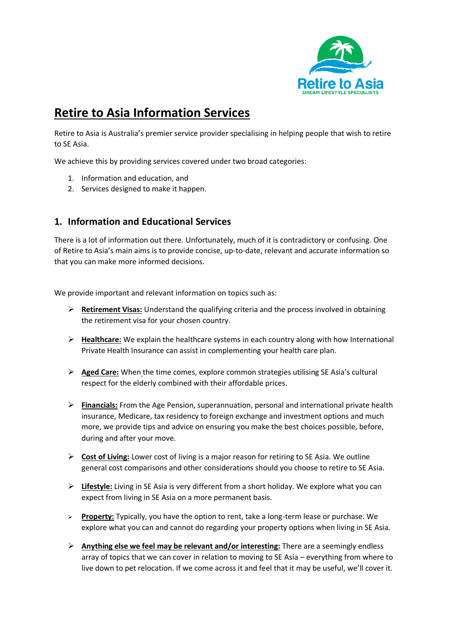

## **Retire to Asia Information Services**

Retire to Asia is Australia's premier service provider specialising in helping people that wish to retire to SE Asia.

We achieve this by providing services covered under two broad categories:

- 1. Information and education, and
- 2. Services designed to make it happen.

## **1. Information and Educational Services**

There is a lot of information out there. Unfortunately, much of it is contradictory or confusing. One of Retire to Asia's main aims is to provide concise, up-to-date, relevant and accurate information so that you can make more informed decisions.

We provide important and relevant information on topics such as:

- ➢ **Retirement Visas:** Understand the qualifying criteria and the process involved in obtaining the retirement visa for your chosen country.
- ➢ **Healthcare:** We explain the healthcare systems in each country along with how International Private Health Insurance can assist in complementing your health care plan.
- ➢ **Aged Care:** When the time comes, explore common strategies utilising SE Asia's cultural respect for the elderly combined with their affordable prices.
- ➢ **Financials:** From the Age Pension, superannuation, personal and international private health insurance, Medicare, tax residency to foreign exchange and investment options and much more, we provide tips and advice on ensuring you make the best choices possible, before, during and after your move.
- ➢ **Cost of Living:** Lower cost of living is a major reason for retiring to SE Asia. We outline general cost comparisons and other considerations should you choose to retire to SE Asia.
- ➢ **Lifestyle:** Living in SE Asia is very different from a short holiday. We explore what you can expect from living in SE Asia on a more permanent basis.
- ➢ **Property:** Typically, you have the option to rent, take a long-term lease or purchase. We explore what you can and cannot do regarding your property options when living in SE Asia.
- ➢ **Anything else we feel may be relevant and/or interesting:** There are a seemingly endless array of topics that we can cover in relation to moving to SE Asia – everything from where to live down to pet relocation. If we come across it and feel that it may be useful, we'll cover it.